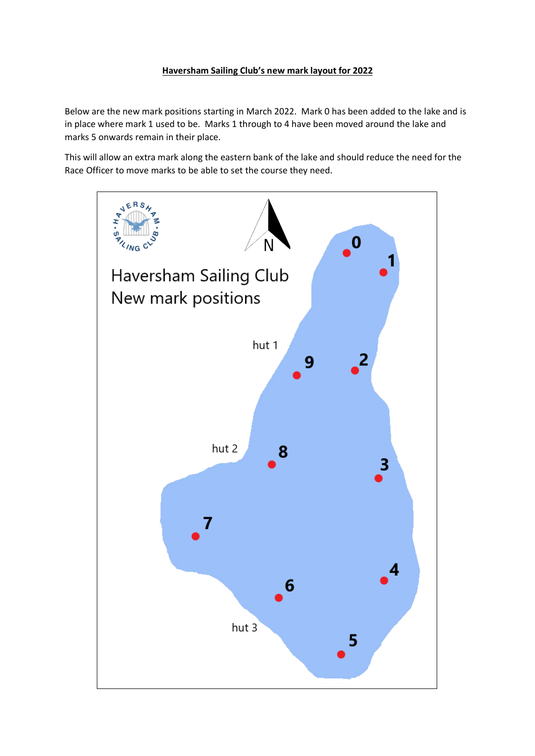## **Haversham Sailing Club's new mark layout for 2022**

Below are the new mark positions starting in March 2022. Mark 0 has been added to the lake and is in place where mark 1 used to be. Marks 1 through to 4 have been moved around the lake and marks 5 onwards remain in their place.

This will allow an extra mark along the eastern bank of the lake and should reduce the need for the Race Officer to move marks to be able to set the course they need.